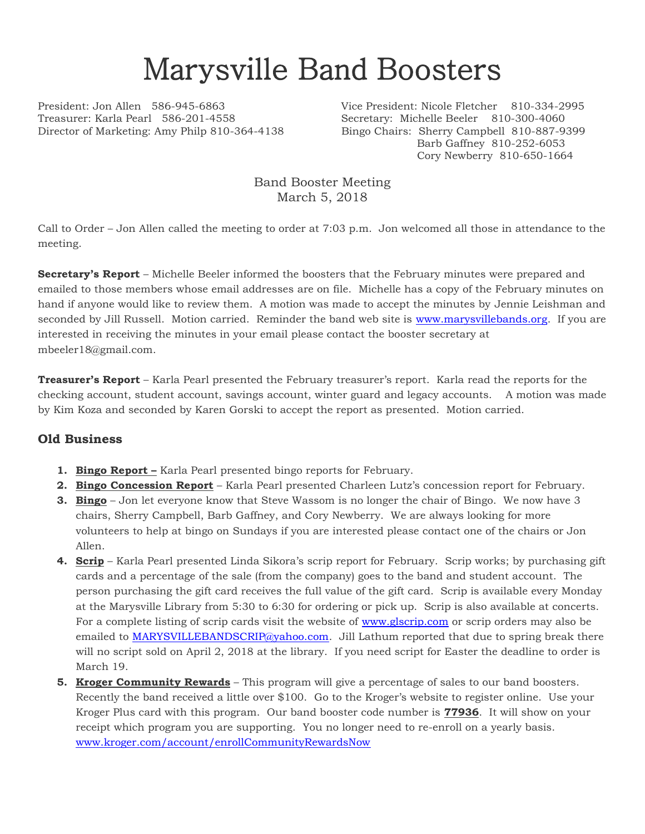## Marysville Band Boosters

Treasurer: Karla Pearl 586-201-4558 Secretary: Michelle Beeler 810-300-4060 Director of Marketing: Amy Philp 810-364-4138 Bingo Chairs: Sherry Campbell 810-887-9399

President: Jon Allen 586-945-6863 Vice President: Nicole Fletcher 810-334-2995 Barb Gaffney 810-252-6053 Cory Newberry 810-650-1664

> Band Booster Meeting March 5, 2018

Call to Order – Jon Allen called the meeting to order at 7:03 p.m. Jon welcomed all those in attendance to the meeting.

**Secretary's Report** – Michelle Beeler informed the boosters that the February minutes were prepared and emailed to those members whose email addresses are on file. Michelle has a copy of the February minutes on hand if anyone would like to review them. A motion was made to accept the minutes by Jennie Leishman and seconded by Jill Russell. Motion carried. Reminder the band web site is [www.marysvillebands.org.](http://www.marysvillebands.org/) If you are interested in receiving the minutes in your email please contact the booster secretary at mbeeler18@gmail.com.

**Treasurer's Report** – Karla Pearl presented the February treasurer's report. Karla read the reports for the checking account, student account, savings account, winter guard and legacy accounts. A motion was made by Kim Koza and seconded by Karen Gorski to accept the report as presented. Motion carried.

## **Old Business**

- **1. Bingo Report –** Karla Pearl presented bingo reports for February.
- **2. Bingo Concession Report** Karla Pearl presented Charleen Lutz's concession report for February.
- **3. Bingo** Jon let everyone know that Steve Wassom is no longer the chair of Bingo. We now have 3 chairs, Sherry Campbell, Barb Gaffney, and Cory Newberry. We are always looking for more volunteers to help at bingo on Sundays if you are interested please contact one of the chairs or Jon Allen.
- **4. Scrip** Karla Pearl presented Linda Sikora's scrip report for February. Scrip works; by purchasing gift cards and a percentage of the sale (from the company) goes to the band and student account. The person purchasing the gift card receives the full value of the gift card. Scrip is available every Monday at the Marysville Library from 5:30 to 6:30 for ordering or pick up. Scrip is also available at concerts. For a complete listing of scrip cards visit the website of [www.glscrip.com](http://www.glscrip.com/) or scrip orders may also be emailed to [MARYSVILLEBANDSCRIP@yahoo.com.](mailto:MARYSVILLEBANDSCRIP@yahoo.com) Jill Lathum reported that due to spring break there will no script sold on April 2, 2018 at the library. If you need script for Easter the deadline to order is March 19.
- **5. Kroger Community Rewards** This program will give a percentage of sales to our band boosters. Recently the band received a little over \$100. Go to the Kroger's website to register online. Use your Kroger Plus card with this program. Our band booster code number is **77936**. It will show on your receipt which program you are supporting. You no longer need to re-enroll on a yearly basis. [www.kroger.com/account/enrollCommunityRewardsNow](http://www.kroger.com/account/enrollCommunityRewardsNow)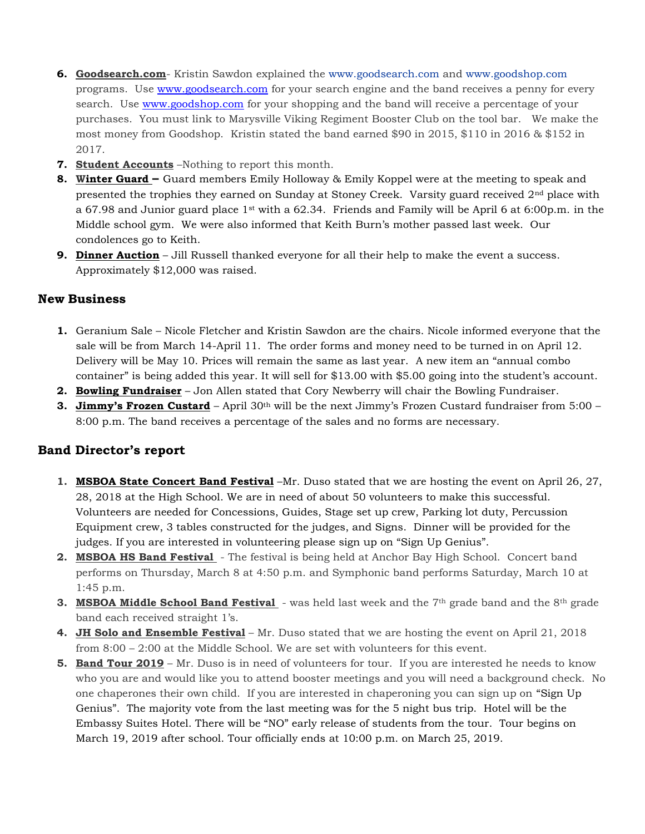- **6. Goodsearch.com** Kristin Sawdon explained the [www.goodsearch.com](http://www.goodsearch.com/) and [www.goodshop.com](http://www.goodshop.com/) programs. Use [www.goodsearch.com](http://www.goodsearch.com/) for your search engine and the band receives a penny for every search. Use [www.goodshop.com](http://www.goodshop.com/) for your shopping and the band will receive a percentage of your purchases. You must link to Marysville Viking Regiment Booster Club on the tool bar. We make the most money from Goodshop. Kristin stated the band earned \$90 in 2015, \$110 in 2016 & \$152 in 2017.
- **7. Student Accounts** –Nothing to report this month.
- **8. Winter Guard –** Guard members Emily Holloway & Emily Koppel were at the meeting to speak and presented the trophies they earned on Sunday at Stoney Creek. Varsity guard received 2<sup>nd</sup> place with a 67.98 and Junior guard place 1st with a 62.34. Friends and Family will be April 6 at 6:00p.m. in the Middle school gym. We were also informed that Keith Burn's mother passed last week. Our condolences go to Keith.
- **9. Dinner Auction** Jill Russell thanked everyone for all their help to make the event a success. Approximately \$12,000 was raised.

## **New Business**

- **1.** Geranium Sale Nicole Fletcher and Kristin Sawdon are the chairs. Nicole informed everyone that the sale will be from March 14-April 11. The order forms and money need to be turned in on April 12. Delivery will be May 10. Prices will remain the same as last year. A new item an "annual combo container" is being added this year. It will sell for \$13.00 with \$5.00 going into the student's account.
- **2. Bowling Fundraiser** Jon Allen stated that Cory Newberry will chair the Bowling Fundraiser.
- **3. Jimmy's Frozen Custard** April 30<sup>th</sup> will be the next Jimmy's Frozen Custard fundraiser from 5:00 8:00 p.m. The band receives a percentage of the sales and no forms are necessary.

## **Band Director's report**

- **1. MSBOA State Concert Band Festival** –Mr. Duso stated that we are hosting the event on April 26, 27, 28, 2018 at the High School. We are in need of about 50 volunteers to make this successful. Volunteers are needed for Concessions, Guides, Stage set up crew, Parking lot duty, Percussion Equipment crew, 3 tables constructed for the judges, and Signs. Dinner will be provided for the judges. If you are interested in volunteering please sign up on "Sign Up Genius".
- **2. MSBOA HS Band Festival**  The festival is being held at Anchor Bay High School. Concert band performs on Thursday, March 8 at 4:50 p.m. and Symphonic band performs Saturday, March 10 at 1:45 p.m.
- **3.** MSBOA Middle School Band Festival was held last week and the 7<sup>th</sup> grade band and the 8<sup>th</sup> grade band each received straight 1's.
- **4. JH Solo and Ensemble Festival** Mr. Duso stated that we are hosting the event on April 21, 2018 from 8:00 – 2:00 at the Middle School. We are set with volunteers for this event.
- **5. Band Tour 2019** Mr. Duso is in need of volunteers for tour. If you are interested he needs to know who you are and would like you to attend booster meetings and you will need a background check. No one chaperones their own child. If you are interested in chaperoning you can sign up on "Sign Up Genius". The majority vote from the last meeting was for the 5 night bus trip. Hotel will be the Embassy Suites Hotel. There will be "NO" early release of students from the tour. Tour begins on March 19, 2019 after school. Tour officially ends at 10:00 p.m. on March 25, 2019.